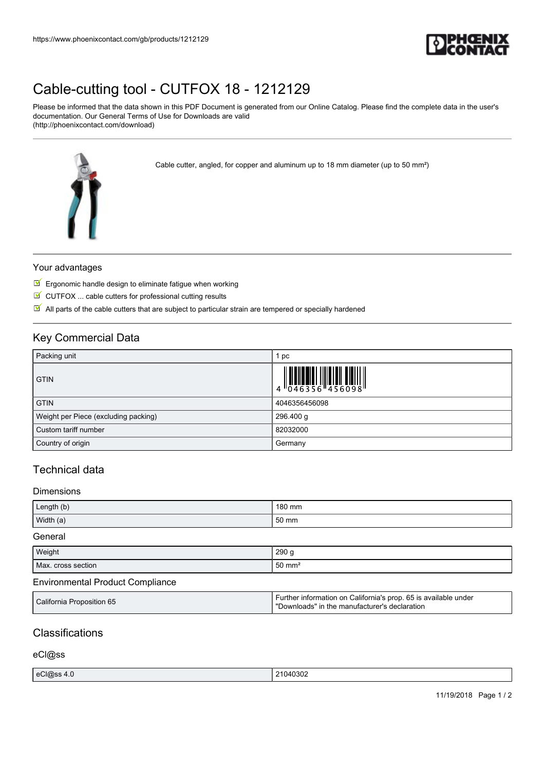

# [Cable-cutting tool - CUTFOX 18 - 1212129](https://www.phoenixcontact.com/gb/products/1212129)

Please be informed that the data shown in this PDF Document is generated from our Online Catalog. Please find the complete data in the user's documentation. Our General Terms of Use for Downloads are valid (http://phoenixcontact.com/download)

Cable cutter, angled, for copper and aluminum up to 18 mm diameter (up to 50 mm²)



## Your advantages

- $\blacksquare$  Ergonomic handle design to eliminate fatigue when working
- $\blacksquare$  CUTFOX ... cable cutters for professional cutting results
- $\boxed{\blacksquare}$  All parts of the cable cutters that are subject to particular strain are tempered or specially hardened

## Key Commercial Data

| Packing unit                         | 1 pc          |
|--------------------------------------|---------------|
| <b>GTIN</b>                          |               |
| <b>GTIN</b>                          | 4046356456098 |
| Weight per Piece (excluding packing) | 296.400 g     |
| Custom tariff number                 | 82032000      |
| Country of origin                    | Germany       |

# Technical data

### Dimensions

| Length (b) | 180 mm |
|------------|--------|
| Width (a)  | 50 mm  |
| General    |        |

| Weight             | 290g                  |
|--------------------|-----------------------|
| Max. cross section | $150$ mm <sup>2</sup> |

### Environmental Product Compliance

| California Proposition 65 | Further information on California's prop. 65 is available under<br>'Downloads" in the manufacturer's declaration |
|---------------------------|------------------------------------------------------------------------------------------------------------------|
|---------------------------|------------------------------------------------------------------------------------------------------------------|

# **Classifications**

### eCl@ss

| eCl@ss 4.0 | 1040302 |
|------------|---------|
| ___        | .       |
|            |         |